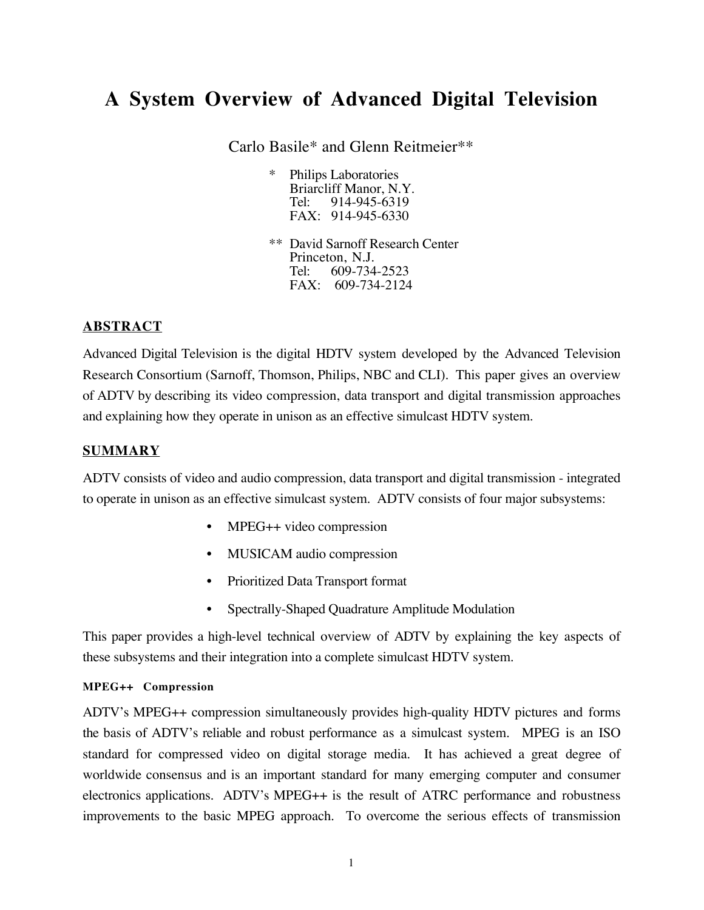# **A System Overview of Advanced Digital Television**

Carlo Basile\* and Glenn Reitmeier\*\*

- Philips Laboratories Briarcliff Manor, N.Y.<br>Tel: 914-945-6319 914-945-6319 FAX: 914-945-6330
- \*\* David Sarnoff Research Center Princeton, N.J. Tel: 609-734-2523 FAX: 609-734-2124

# **ABSTRACT**

Advanced Digital Television is the digital HDTV system developed by the Advanced Television Research Consortium (Sarnoff, Thomson, Philips, NBC and CLI). This paper gives an overview of ADTV by describing its video compression, data transport and digital transmission approaches and explaining how they operate in unison as an effective simulcast HDTV system.

## **SUMMARY**

ADTV consists of video and audio compression, data transport and digital transmission - integrated to operate in unison as an effective simulcast system. ADTV consists of four major subsystems:

- MPEG++ video compression
- MUSICAM audio compression
- Prioritized Data Transport format
- Spectrally-Shaped Quadrature Amplitude Modulation

This paper provides a high-level technical overview of ADTV by explaining the key aspects of these subsystems and their integration into a complete simulcast HDTV system.

#### **MPEG++ Compression**

ADTV's MPEG++ compression simultaneously provides high-quality HDTV pictures and forms the basis of ADTV's reliable and robust performance as a simulcast system. MPEG is an ISO standard for compressed video on digital storage media. It has achieved a great degree of worldwide consensus and is an important standard for many emerging computer and consumer electronics applications. ADTV's MPEG++ is the result of ATRC performance and robustness improvements to the basic MPEG approach. To overcome the serious effects of transmission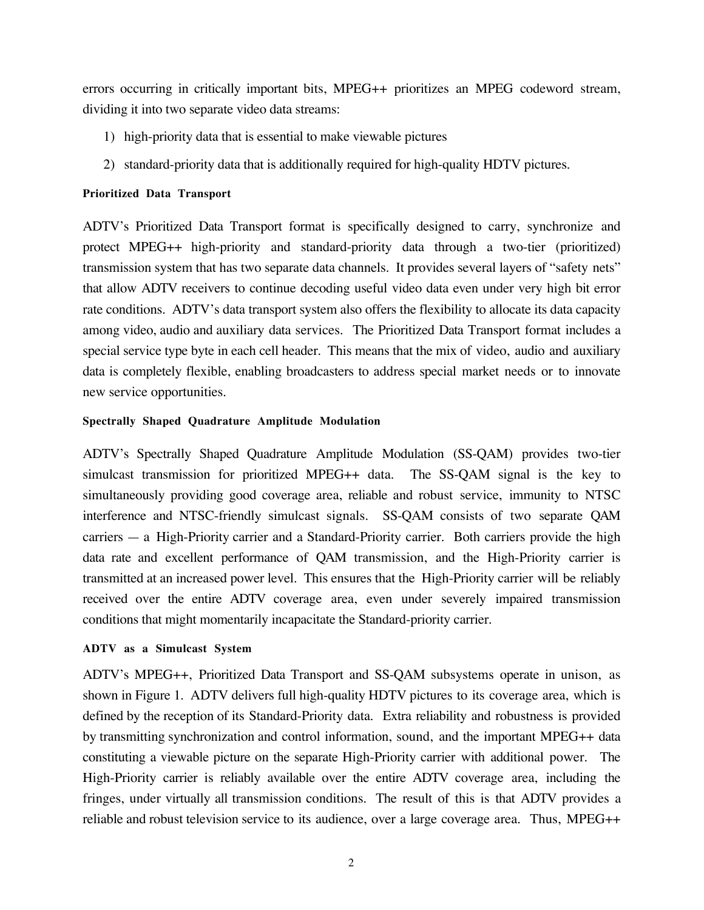errors occurring in critically important bits, MPEG++ prioritizes an MPEG codeword stream, dividing it into two separate video data streams:

- 1) high-priority data that is essential to make viewable pictures
- 2) standard-priority data that is additionally required for high-quality HDTV pictures.

## **Prioritized Data Transport**

ADTV's Prioritized Data Transport format is specifically designed to carry, synchronize and protect MPEG++ high-priority and standard-priority data through a two-tier (prioritized) transmission system that has two separate data channels. It provides several layers of "safety nets" that allow ADTV receivers to continue decoding useful video data even under very high bit error rate conditions. ADTV's data transport system also offers the flexibility to allocate its data capacity among video, audio and auxiliary data services. The Prioritized Data Transport format includes a special service type byte in each cell header. This means that the mix of video, audio and auxiliary data is completely flexible, enabling broadcasters to address special market needs or to innovate new service opportunities.

#### **Spectrally Shaped Quadrature Amplitude Modulation**

ADTV's Spectrally Shaped Quadrature Amplitude Modulation (SS-QAM) provides two-tier simulcast transmission for prioritized MPEG++ data. The SS-QAM signal is the key to simultaneously providing good coverage area, reliable and robust service, immunity to NTSC interference and NTSC-friendly simulcast signals. SS-QAM consists of two separate QAM carriers — a High-Priority carrier and a Standard-Priority carrier. Both carriers provide the high data rate and excellent performance of QAM transmission, and the High-Priority carrier is transmitted at an increased power level. This ensures that the High-Priority carrier will be reliably received over the entire ADTV coverage area, even under severely impaired transmission conditions that might momentarily incapacitate the Standard-priority carrier.

#### **ADTV as a Simulcast System**

ADTV's MPEG++, Prioritized Data Transport and SS-QAM subsystems operate in unison, as shown in Figure 1. ADTV delivers full high-quality HDTV pictures to its coverage area, which is defined by the reception of its Standard-Priority data. Extra reliability and robustness is provided by transmitting synchronization and control information, sound, and the important MPEG++ data constituting a viewable picture on the separate High-Priority carrier with additional power. The High-Priority carrier is reliably available over the entire ADTV coverage area, including the fringes, under virtually all transmission conditions. The result of this is that ADTV provides a reliable and robust television service to its audience, over a large coverage area. Thus, MPEG++